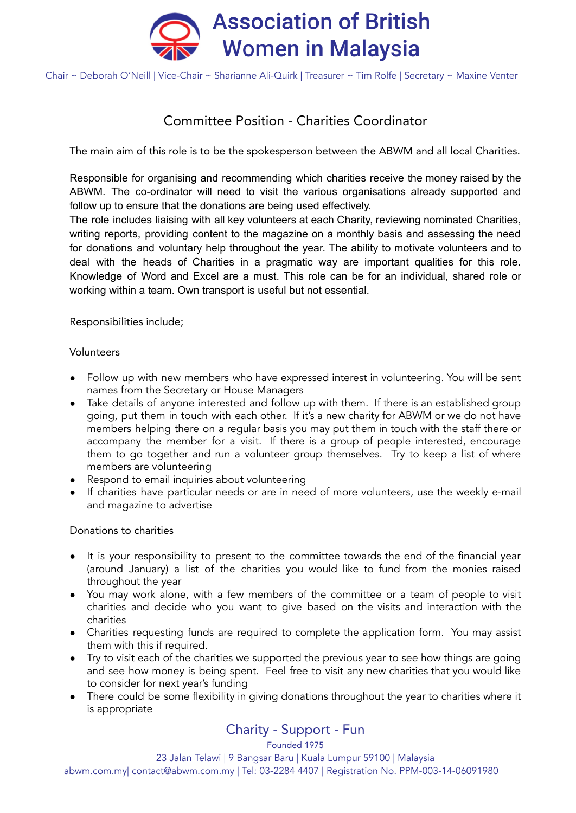

Chair ~ Deborah O'Neill | Vice-Chair ~ Sharianne Ali-Quirk | Treasurer ~ Tim Rolfe | Secretary ~ Maxine Venter

# Committee Position - Charities Coordinator

The main aim of this role is to be the spokesperson between the ABWM and all local Charities.

Responsible for organising and recommending which charities receive the money raised by the ABWM. The co-ordinator will need to visit the various organisations already supported and follow up to ensure that the donations are being used effectively.

The role includes liaising with all key volunteers at each Charity, reviewing nominated Charities, writing reports, providing content to the magazine on a monthly basis and assessing the need for donations and voluntary help throughout the year. The ability to motivate volunteers and to deal with the heads of Charities in a pragmatic way are important qualities for this role. Knowledge of Word and Excel are a must. This role can be for an individual, shared role or working within a team. Own transport is useful but not essential.

Responsibilities include;

# Volunteers

- Follow up with new members who have expressed interest in volunteering. You will be sent names from the Secretary or House Managers
- Take details of anyone interested and follow up with them. If there is an established group going, put them in touch with each other. If it's a new charity for ABWM or we do not have members helping there on a regular basis you may put them in touch with the staff there or accompany the member for a visit. If there is a group of people interested, encourage them to go together and run a volunteer group themselves. Try to keep a list of where members are volunteering
- Respond to email inquiries about volunteering
- If charities have particular needs or are in need of more volunteers, use the weekly e-mail and magazine to advertise

# Donations to charities

- It is your responsibility to present to the committee towards the end of the financial year (around January) a list of the charities you would like to fund from the monies raised throughout the year
- You may work alone, with a few members of the committee or a team of people to visit charities and decide who you want to give based on the visits and interaction with the charities
- Charities requesting funds are required to complete the application form. You may assist them with this if required.
- Try to visit each of the charities we supported the previous year to see how things are going and see how money is being spent. Feel free to visit any new charities that you would like to consider for next year's funding
- There could be some flexibility in giving donations throughout the year to charities where it is appropriate

# Charity - Support - Fun

Founded 1975

23 Jalan Telawi | 9 Bangsar Baru | Kuala Lumpur 59100 | Malaysia

abwm.com.my| contact@abwm.com.my | Tel: 03-2284 4407 | Registration No. PPM-003-14-06091980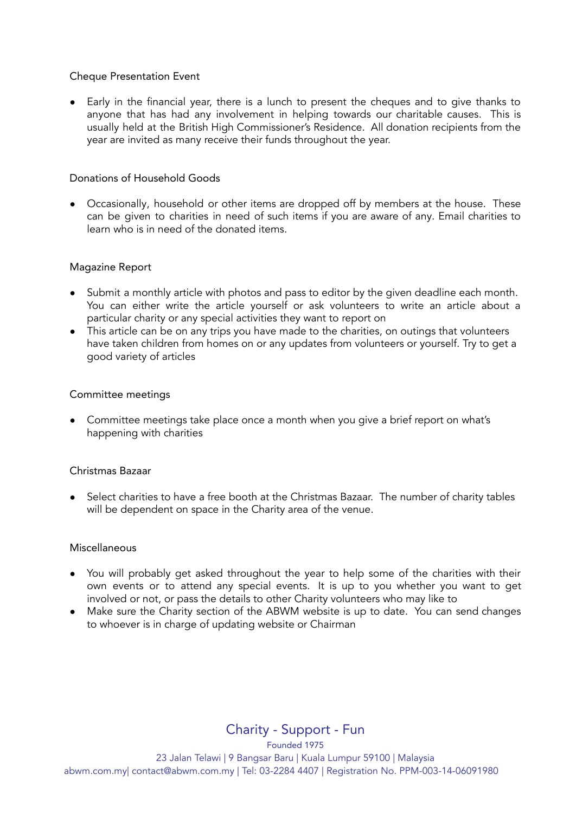# Cheque Presentation Event

● Early in the financial year, there is a lunch to present the cheques and to give thanks to anyone that has had any involvement in helping towards our charitable causes. This is usually held at the British High Commissioner's Residence. All donation recipients from the year are invited as many receive their funds throughout the year.

# Donations of Household Goods

• Occasionally, household or other items are dropped off by members at the house. These can be given to charities in need of such items if you are aware of any. Email charities to learn who is in need of the donated items.

#### Magazine Report

- Submit a monthly article with photos and pass to editor by the given deadline each month. You can either write the article yourself or ask volunteers to write an article about a particular charity or any special activities they want to report on
- This article can be on any trips you have made to the charities, on outings that volunteers have taken children from homes on or any updates from volunteers or yourself. Try to get a good variety of articles

#### Committee meetings

● Committee meetings take place once a month when you give a brief report on what's happening with charities

#### Christmas Bazaar

Select charities to have a free booth at the Christmas Bazaar. The number of charity tables will be dependent on space in the Charity area of the venue.

#### Miscellaneous

- You will probably get asked throughout the year to help some of the charities with their own events or to attend any special events. It is up to you whether you want to get involved or not, or pass the details to other Charity volunteers who may like to
- Make sure the Charity section of the ABWM website is up to date. You can send changes to whoever is in charge of updating website or Chairman

Charity - Support - Fun

Founded 1975 23 Jalan Telawi | 9 Bangsar Baru | Kuala Lumpur 59100 | Malaysia abwm.com.my| contact@abwm.com.my | Tel: 03-2284 4407 | Registration No. PPM-003-14-06091980